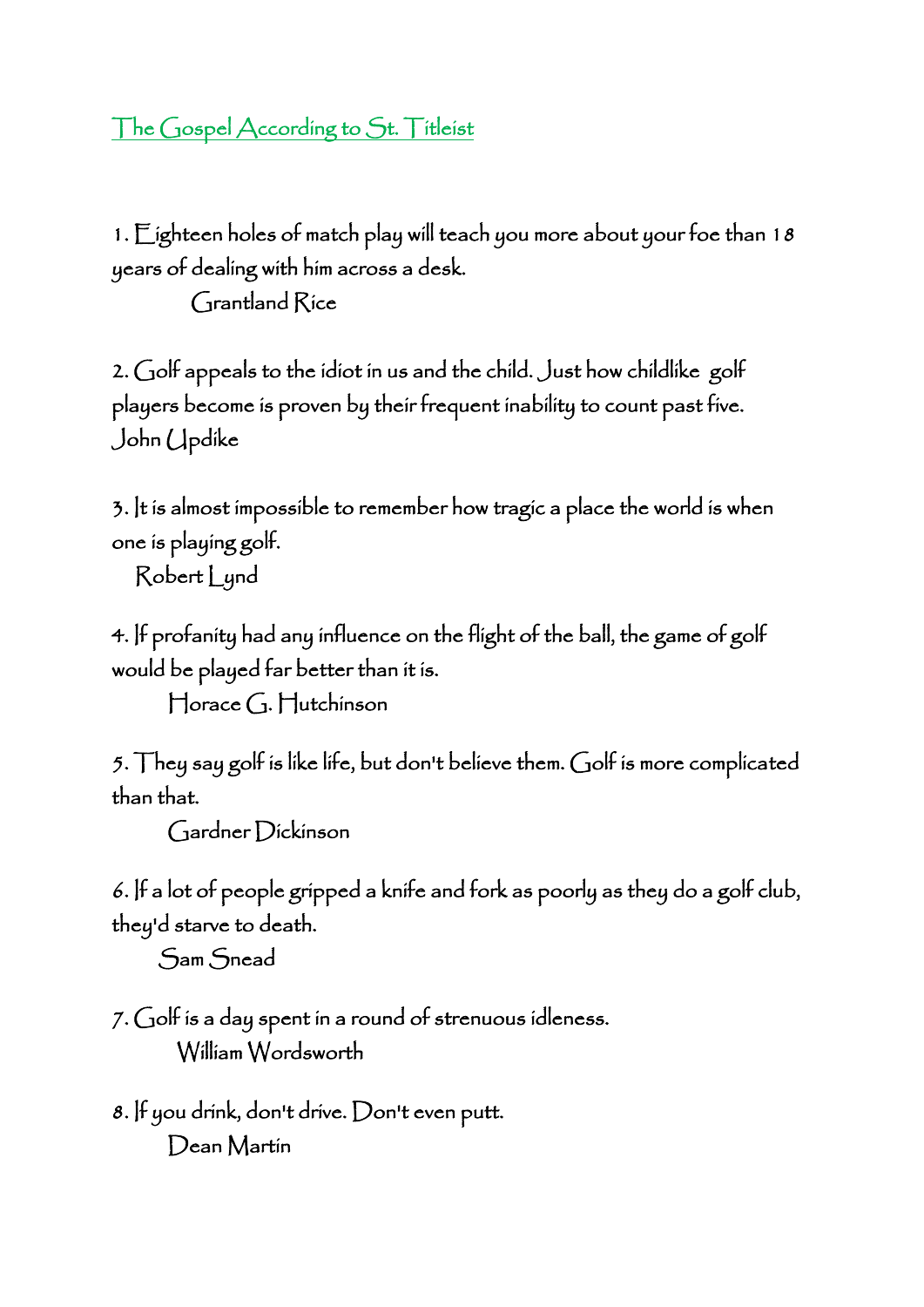## The Gospel According to St. Titleist

1. Eighteen holes of match play will teach you more about your foe than 18 years of dealing with him across a desk.

Grantland Rice

2. Golf appeals to the idiot in us and the child. Just how childlike golf players become is proven by their frequent inability to count past five. John Updike

3. It is almost impossible to remember how tragic a place the world is when one is playing golf.

Robert Lynd

4. If profanity had any influence on the flight of the ball, the game of golf would be played far better than it is.

Horace G. Hutchinson

5. They say golf is like life, but don't believe them. Golf is more complicated than that.

Gardner Dickinson

6. If a lot of people gripped a knife and fork as poorly as they do a golf club, they'd starve to death.

Sam Snead

7. Golf is a day spent in a round of strenuous idleness. William Wordsworth

8. If you drink, don't drive. Don't even putt. Dean Martin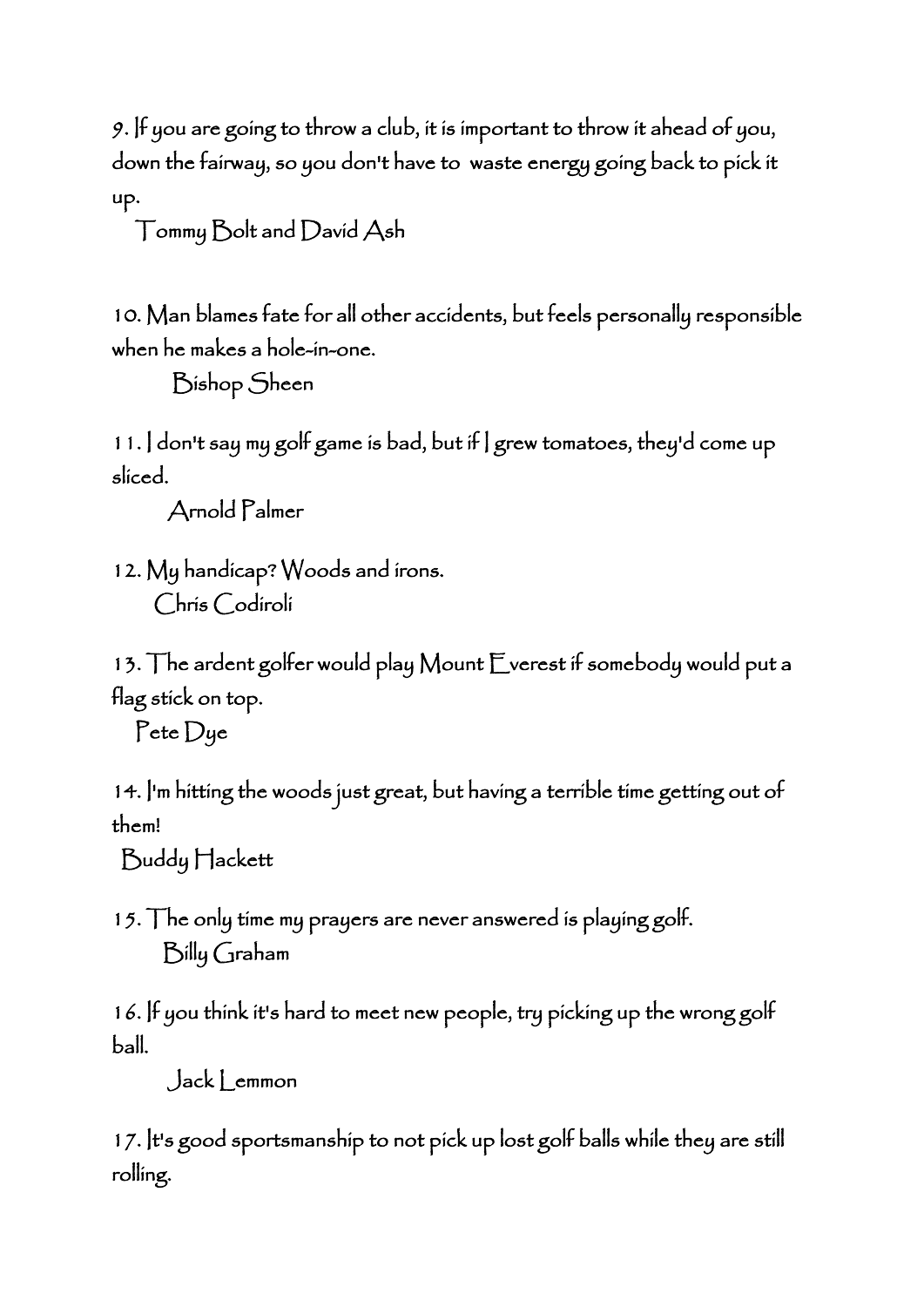9. If you are going to throw a club, it is important to throw it ahead of you, down the fairway, so you don't have to waste energy going back to pick it up.

Tommy Bolt and David Ash

10. Man blames fate for all other accidents, but feels personally responsible when he makes a hole-in-one.

Bishop Sheen

11. I don't say my golf game is bad, but if I grew tomatoes, they'd come up sliced.

Arnold Palmer

12. My handicap? Woods and irons. Chris Codiroli

13. The ardent golfer would play Mount Everest if somebody would put a flag stick on top.

Pete Dye

14. I'm hitting the woods just great, but having a terrible time getting out of them!

Buddy Hackett

15. The only time my prayers are never answered is playing golf. Billy Graham

16. If you think it's hard to meet new people, try picking up the wrong golf ball.

Jack Lemmon

17. It's good sportsmanship to not pick up lost golf balls while they are still rolling.